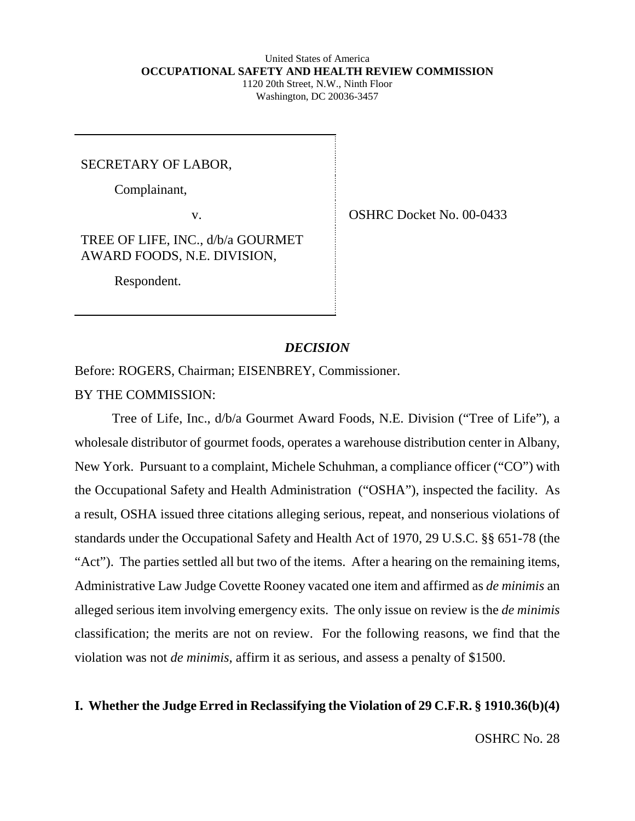#### United States of America **OCCUPATIONAL SAFETY AND HEALTH REVIEW COMMISSION** 1120 20th Street, N.W., Ninth Floor Washington, DC 20036-3457

SECRETARY OF LABOR,

Complainant,

v. SHRC Docket No. 00-0433

TREE OF LIFE, INC., d/b/a GOURMET AWARD FOODS, N.E. DIVISION,

Respondent.

#### *DECISION*

Before: ROGERS, Chairman; EISENBREY, Commissioner. BY THE COMMISSION:

Tree of Life, Inc., d/b/a Gourmet Award Foods, N.E. Division ("Tree of Life"), a wholesale distributor of gourmet foods, operates a warehouse distribution center in Albany, New York. Pursuant to a complaint, Michele Schuhman, a compliance officer ("CO") with the Occupational Safety and Health Administration ("OSHA"), inspected the facility. As a result, OSHA issued three citations alleging serious, repeat, and nonserious violations of standards under the Occupational Safety and Health Act of 1970, 29 U.S.C. §§ 651-78 (the "Act"). The parties settled all but two of the items. After a hearing on the remaining items, Administrative Law Judge Covette Rooney vacated one item and affirmed as *de minimis* an alleged serious item involving emergency exits. The only issue on review is the *de minimis* classification; the merits are not on review. For the following reasons, we find that the violation was not *de minimis,* affirm it as serious, and assess a penalty of \$1500.

## **I. Whether the Judge Erred in Reclassifying the Violation of 29 C.F.R. § 1910.36(b)(4)**

OSHRC No. 28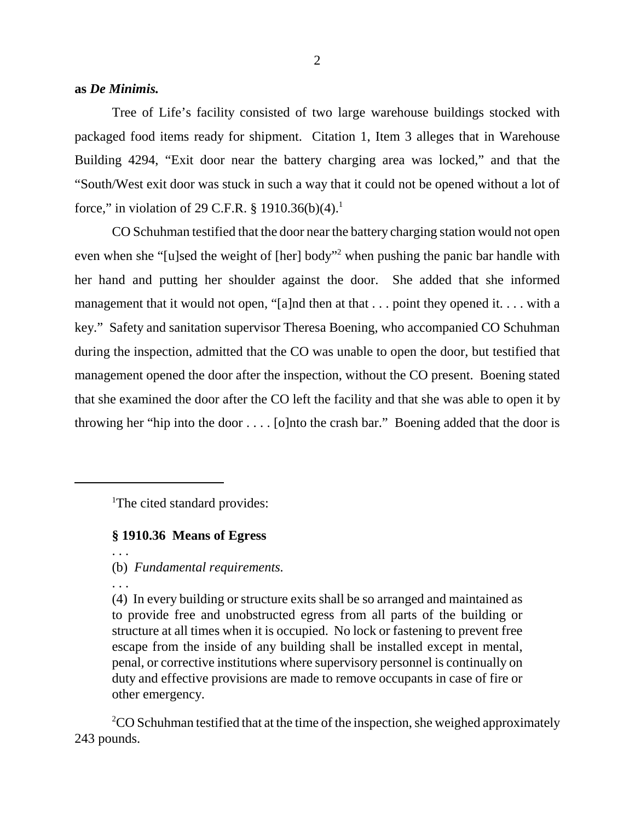#### **as** *De Minimis.*

Tree of Life's facility consisted of two large warehouse buildings stocked with packaged food items ready for shipment. Citation 1, Item 3 alleges that in Warehouse Building 4294, "Exit door near the battery charging area was locked," and that the "South/West exit door was stuck in such a way that it could not be opened without a lot of force," in violation of 29 C.F.R. § 1910.36(b)(4).<sup>1</sup>

CO Schuhman testified that the door near the battery charging station would not open even when she "[u]sed the weight of [her] body"<sup>2</sup> when pushing the panic bar handle with her hand and putting her shoulder against the door. She added that she informed management that it would not open, "[a]nd then at that . . . point they opened it. . . . with a key." Safety and sanitation supervisor Theresa Boening, who accompanied CO Schuhman during the inspection, admitted that the CO was unable to open the door, but testified that management opened the door after the inspection, without the CO present. Boening stated that she examined the door after the CO left the facility and that she was able to open it by throwing her "hip into the door . . . . [o]nto the crash bar." Boening added that the door is

<sup>1</sup>The cited standard provides:

#### **§ 1910.36 Means of Egress**

(b) *Fundamental requirements.*

. . .

. . .

(4) In every building or structure exits shall be so arranged and maintained as to provide free and unobstructed egress from all parts of the building or structure at all times when it is occupied. No lock or fastening to prevent free escape from the inside of any building shall be installed except in mental, penal, or corrective institutions where supervisory personnel is continually on duty and effective provisions are made to remove occupants in case of fire or other emergency.

 $2$ CO Schuhman testified that at the time of the inspection, she weighed approximately 243 pounds.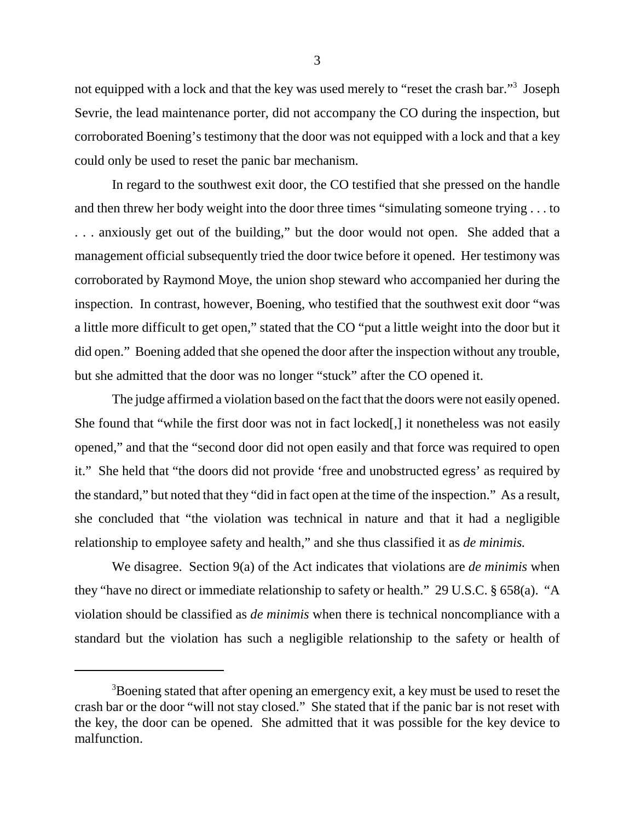not equipped with a lock and that the key was used merely to "reset the crash bar."<sup>3</sup> Joseph Sevrie, the lead maintenance porter, did not accompany the CO during the inspection, but corroborated Boening's testimony that the door was not equipped with a lock and that a key could only be used to reset the panic bar mechanism.

In regard to the southwest exit door, the CO testified that she pressed on the handle and then threw her body weight into the door three times "simulating someone trying . . . to . . . anxiously get out of the building," but the door would not open. She added that a management official subsequently tried the door twice before it opened. Her testimony was corroborated by Raymond Moye, the union shop steward who accompanied her during the inspection. In contrast, however, Boening, who testified that the southwest exit door "was a little more difficult to get open," stated that the CO "put a little weight into the door but it did open." Boening added that she opened the door after the inspection without any trouble, but she admitted that the door was no longer "stuck" after the CO opened it.

The judge affirmed a violation based on the fact that the doors were not easily opened. She found that "while the first door was not in fact locked[,] it nonetheless was not easily opened," and that the "second door did not open easily and that force was required to open it." She held that "the doors did not provide 'free and unobstructed egress' as required by the standard," but noted that they "did in fact open at the time of the inspection." As a result, she concluded that "the violation was technical in nature and that it had a negligible relationship to employee safety and health," and she thus classified it as *de minimis.*

We disagree. Section 9(a) of the Act indicates that violations are *de minimis* when they "have no direct or immediate relationship to safety or health." 29 U.S.C. § 658(a). "A violation should be classified as *de minimis* when there is technical noncompliance with a standard but the violation has such a negligible relationship to the safety or health of

 $3B$  bening stated that after opening an emergency exit, a key must be used to reset the crash bar or the door "will not stay closed." She stated that if the panic bar is not reset with the key, the door can be opened. She admitted that it was possible for the key device to malfunction.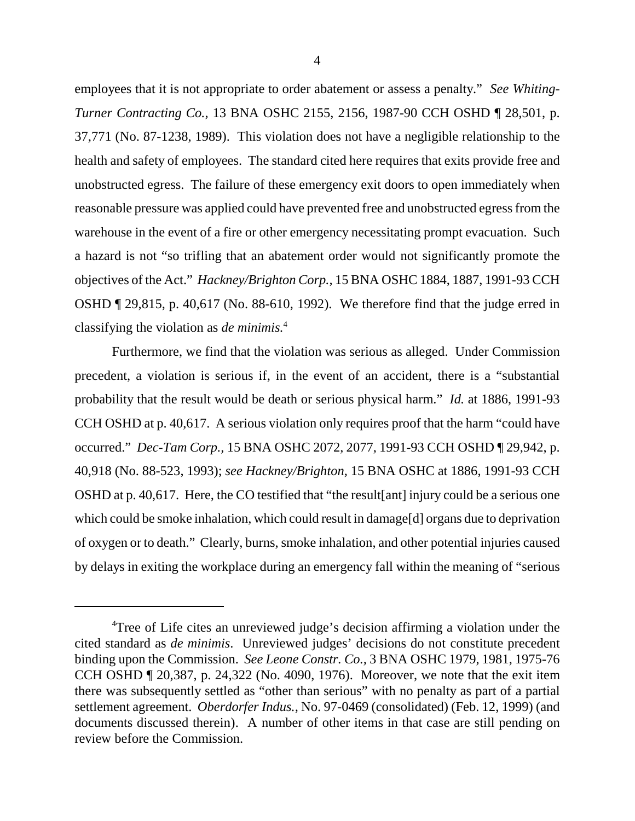employees that it is not appropriate to order abatement or assess a penalty." *See Whiting-Turner Contracting Co.,* 13 BNA OSHC 2155, 2156, 1987-90 CCH OSHD ¶ 28,501, p. 37,771 (No. 87-1238, 1989). This violation does not have a negligible relationship to the health and safety of employees. The standard cited here requires that exits provide free and unobstructed egress. The failure of these emergency exit doors to open immediately when reasonable pressure was applied could have prevented free and unobstructed egress from the warehouse in the event of a fire or other emergency necessitating prompt evacuation. Such a hazard is not "so trifling that an abatement order would not significantly promote the objectives of the Act." *Hackney/Brighton Corp.,* 15 BNA OSHC 1884, 1887, 1991-93 CCH OSHD ¶ 29,815, p. 40,617 (No. 88-610, 1992). We therefore find that the judge erred in classifying the violation as *de minimis.*<sup>4</sup>

Furthermore, we find that the violation was serious as alleged. Under Commission precedent, a violation is serious if, in the event of an accident, there is a "substantial probability that the result would be death or serious physical harm." *Id.* at 1886, 1991-93 CCH OSHD at p. 40,617. A serious violation only requires proof that the harm "could have occurred." *Dec-Tam Corp.,* 15 BNA OSHC 2072, 2077, 1991-93 CCH OSHD ¶ 29,942, p. 40,918 (No. 88-523, 1993); *see Hackney/Brighton,* 15 BNA OSHC at 1886, 1991-93 CCH OSHD at p. 40,617. Here, the CO testified that "the result[ant] injury could be a serious one which could be smoke inhalation, which could result in damage [d] organs due to deprivation of oxygen or to death." Clearly, burns, smoke inhalation, and other potential injuries caused by delays in exiting the workplace during an emergency fall within the meaning of "serious

<sup>&</sup>lt;sup>4</sup>Tree of Life cites an unreviewed judge's decision affirming a violation under the cited standard as *de minimis*. Unreviewed judges' decisions do not constitute precedent binding upon the Commission. *See Leone Constr. Co.,* 3 BNA OSHC 1979, 1981, 1975-76 CCH OSHD ¶ 20,387, p. 24,322 (No. 4090, 1976). Moreover, we note that the exit item there was subsequently settled as "other than serious" with no penalty as part of a partial settlement agreement. *Oberdorfer Indus.,* No. 97-0469 (consolidated) (Feb. 12, 1999) (and documents discussed therein). A number of other items in that case are still pending on review before the Commission.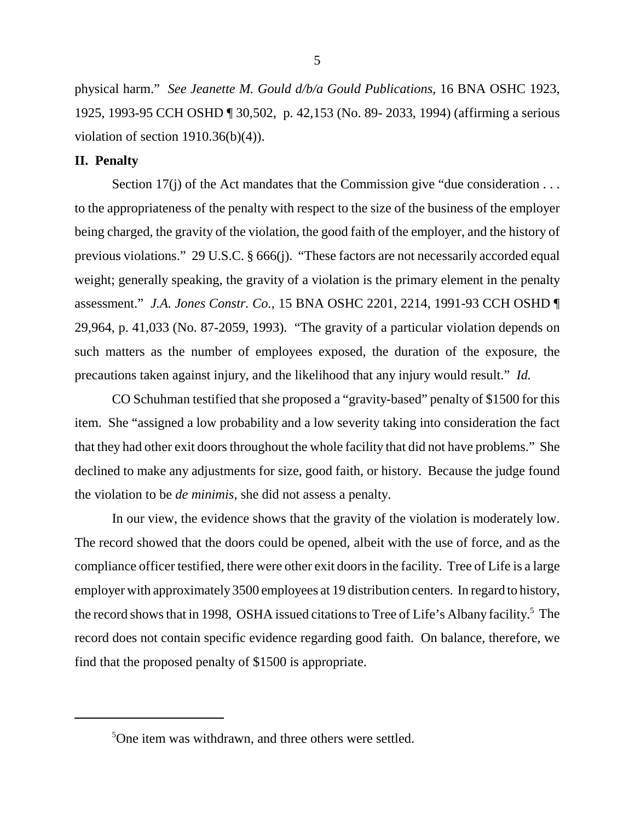physical harm." *See Jeanette M. Gould d/b/a Gould Publications,* 16 BNA OSHC 1923, 1925, 1993-95 CCH OSHD ¶ 30,502, p. 42,153 (No. 89- 2033, 1994) (affirming a serious violation of section  $1910.36(b)(4)$ .

#### **II. Penalty**

Section 17(j) of the Act mandates that the Commission give "due consideration . . . to the appropriateness of the penalty with respect to the size of the business of the employer being charged, the gravity of the violation, the good faith of the employer, and the history of previous violations." 29 U.S.C. § 666(j). "These factors are not necessarily accorded equal weight; generally speaking, the gravity of a violation is the primary element in the penalty assessment." *J.A. Jones Constr. Co.,* 15 BNA OSHC 2201, 2214, 1991-93 CCH OSHD ¶ 29,964, p. 41,033 (No. 87-2059, 1993). "The gravity of a particular violation depends on such matters as the number of employees exposed, the duration of the exposure, the precautions taken against injury, and the likelihood that any injury would result." *Id.*

CO Schuhman testified that she proposed a "gravity-based" penalty of \$1500 for this item. She "assigned a low probability and a low severity taking into consideration the fact that they had other exit doors throughout the whole facility that did not have problems." She declined to make any adjustments for size, good faith, or history. Because the judge found the violation to be *de minimis,* she did not assess a penalty.

In our view, the evidence shows that the gravity of the violation is moderately low. The record showed that the doors could be opened, albeit with the use of force, and as the compliance officer testified, there were other exit doors in the facility. Tree of Life is a large employer with approximately 3500 employees at 19 distribution centers. In regard to history, the record shows that in 1998, OSHA issued citations to Tree of Life's Albany facility.<sup>5</sup> The record does not contain specific evidence regarding good faith. On balance, therefore, we find that the proposed penalty of \$1500 is appropriate.

<sup>5</sup> One item was withdrawn, and three others were settled.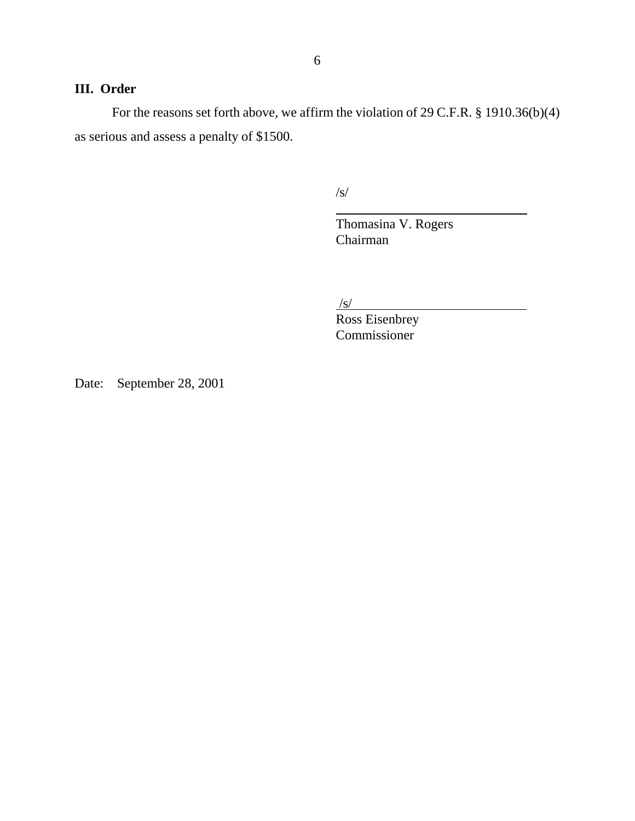# **III. Order**

For the reasons set forth above, we affirm the violation of 29 C.F.R. § 1910.36(b)(4) as serious and assess a penalty of \$1500.

> /s/  $\overline{a}$

 Thomasina V. Rogers Chairman

 $/s/$ 

Ross Eisenbrey Commissioner

Date: September 28, 2001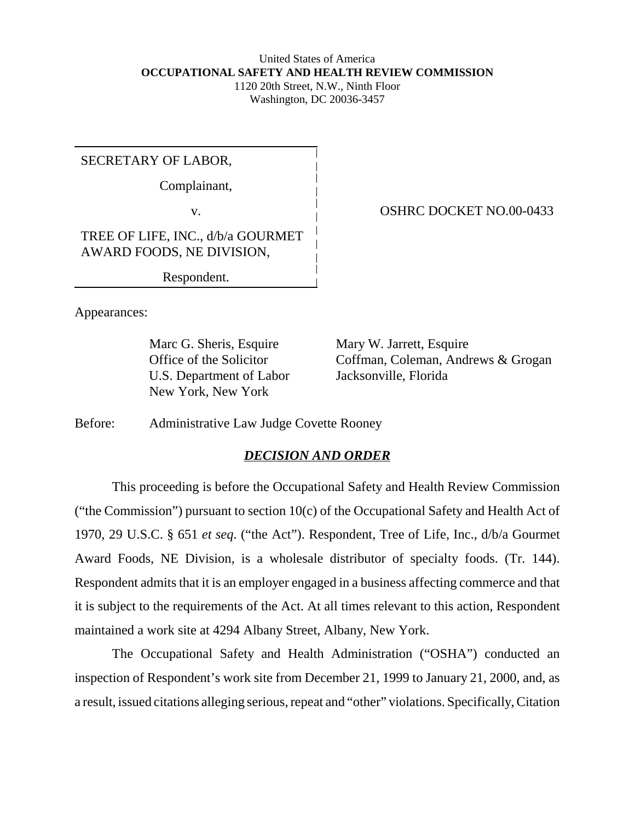#### United States of America **OCCUPATIONAL SAFETY AND HEALTH REVIEW COMMISSION** 1120 20th Street, N.W., Ninth Floor Washington, DC 20036-3457

SECRETARY OF LABOR,

Complainant,

TREE OF LIFE, INC., d/b/a GOURMET AWARD FOODS, NE DIVISION,

Respondent.

Appearances:

Marc G. Sheris, Esquire Mary W. Jarrett, Esquire U.S. Department of Labor Jacksonville, Florida New York, New York

Office of the Solicitor Coffman, Coleman, Andrews & Grogan

Before: Administrative Law Judge Covette Rooney

## *DECISION AND ORDER*

This proceeding is before the Occupational Safety and Health Review Commission ("the Commission") pursuant to section 10(c) of the Occupational Safety and Health Act of 1970, 29 U.S.C. § 651 *et seq*. ("the Act"). Respondent, Tree of Life, Inc., d/b/a Gourmet Award Foods, NE Division, is a wholesale distributor of specialty foods. (Tr. 144). Respondent admits that it is an employer engaged in a business affecting commerce and that it is subject to the requirements of the Act. At all times relevant to this action, Respondent maintained a work site at 4294 Albany Street, Albany, New York.

The Occupational Safety and Health Administration ("OSHA") conducted an inspection of Respondent's work site from December 21, 1999 to January 21, 2000, and, as a result, issued citations alleging serious, repeat and "other" violations. Specifically, Citation

v. COSHRC DOCKET NO.00-0433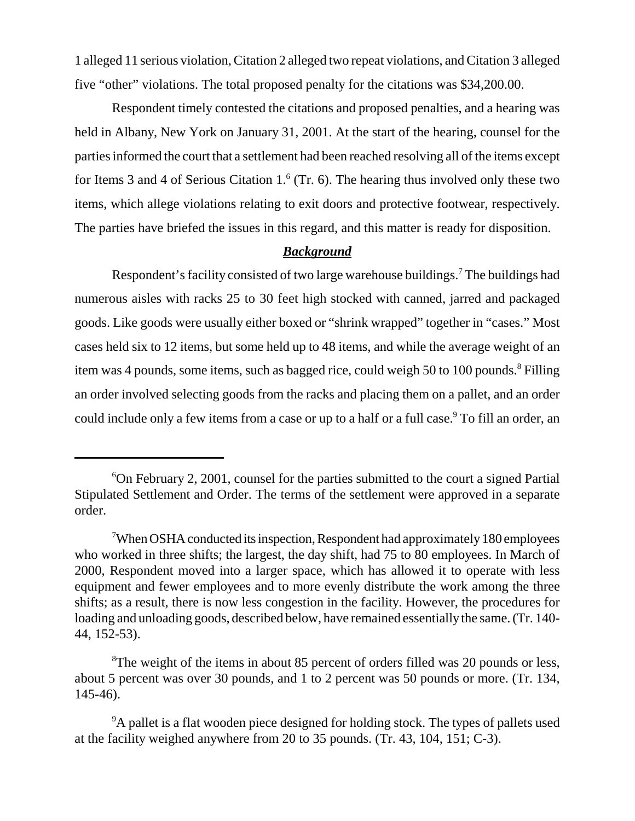1 alleged 11 serious violation, Citation 2 alleged two repeat violations, and Citation 3 alleged five "other" violations. The total proposed penalty for the citations was \$34,200.00.

Respondent timely contested the citations and proposed penalties, and a hearing was held in Albany, New York on January 31, 2001. At the start of the hearing, counsel for the parties informed the court that a settlement had been reached resolving all of the items except for Items 3 and 4 of Serious Citation  $1<sup>6</sup>$  (Tr. 6). The hearing thus involved only these two items, which allege violations relating to exit doors and protective footwear, respectively. The parties have briefed the issues in this regard, and this matter is ready for disposition.

## *Background*

Respondent's facility consisted of two large warehouse buildings.<sup>7</sup> The buildings had numerous aisles with racks 25 to 30 feet high stocked with canned, jarred and packaged goods. Like goods were usually either boxed or "shrink wrapped" together in "cases." Most cases held six to 12 items, but some held up to 48 items, and while the average weight of an item was 4 pounds, some items, such as bagged rice, could weigh 50 to 100 pounds.<sup>8</sup> Filling an order involved selecting goods from the racks and placing them on a pallet, and an order could include only a few items from a case or up to a half or a full case.<sup>9</sup> To fill an order, an

<sup>6</sup> On February 2, 2001, counsel for the parties submitted to the court a signed Partial Stipulated Settlement and Order. The terms of the settlement were approved in a separate order.

<sup>&</sup>lt;sup>7</sup>When OSHA conducted its inspection, Respondent had approximately 180 employees who worked in three shifts; the largest, the day shift, had 75 to 80 employees. In March of 2000, Respondent moved into a larger space, which has allowed it to operate with less equipment and fewer employees and to more evenly distribute the work among the three shifts; as a result, there is now less congestion in the facility. However, the procedures for loading and unloading goods, described below, have remained essentially the same. (Tr. 140- 44, 152-53).

<sup>&</sup>lt;sup>8</sup>The weight of the items in about 85 percent of orders filled was 20 pounds or less, about 5 percent was over 30 pounds, and 1 to 2 percent was 50 pounds or more. (Tr. 134, 145-46).

<sup>&</sup>lt;sup>9</sup>A pallet is a flat wooden piece designed for holding stock. The types of pallets used at the facility weighed anywhere from 20 to 35 pounds. (Tr. 43, 104, 151; C-3).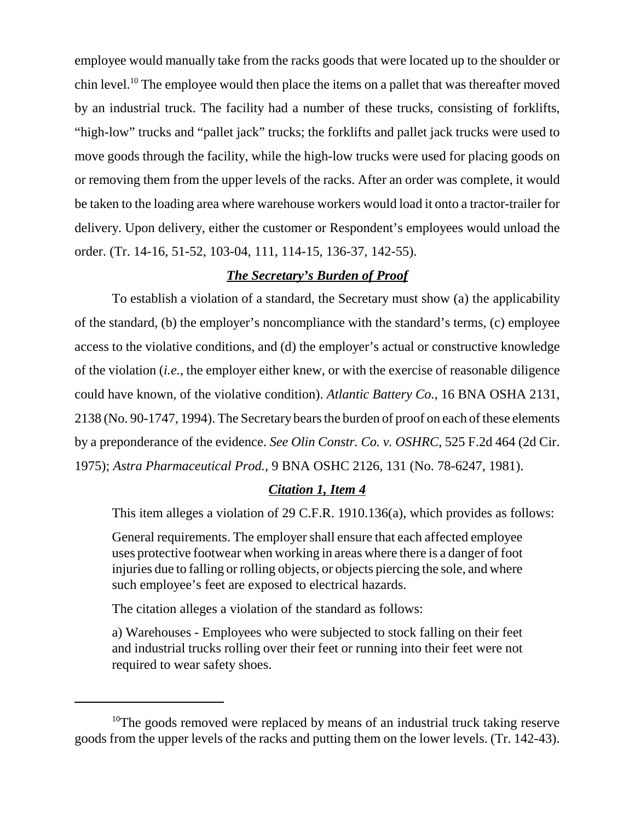employee would manually take from the racks goods that were located up to the shoulder or chin level.<sup>10</sup> The employee would then place the items on a pallet that was thereafter moved by an industrial truck. The facility had a number of these trucks, consisting of forklifts, "high-low" trucks and "pallet jack" trucks; the forklifts and pallet jack trucks were used to move goods through the facility, while the high-low trucks were used for placing goods on or removing them from the upper levels of the racks. After an order was complete, it would be taken to the loading area where warehouse workers would load it onto a tractor-trailer for delivery. Upon delivery, either the customer or Respondent's employees would unload the order. (Tr. 14-16, 51-52, 103-04, 111, 114-15, 136-37, 142-55).

## *The Secretary's Burden of Proof*

To establish a violation of a standard, the Secretary must show (a) the applicability of the standard, (b) the employer's noncompliance with the standard's terms, (c) employee access to the violative conditions, and (d) the employer's actual or constructive knowledge of the violation (*i.e.*, the employer either knew, or with the exercise of reasonable diligence could have known, of the violative condition). *Atlantic Battery Co.*, 16 BNA OSHA 2131, 2138 (No. 90-1747, 1994). The Secretary bears the burden of proof on each of these elements by a preponderance of the evidence. *See Olin Constr. Co. v. OSHRC*, 525 F.2d 464 (2d Cir. 1975); *Astra Pharmaceutical Prod.,* 9 BNA OSHC 2126, 131 (No. 78-6247, 1981).

#### *Citation 1, Item 4*

This item alleges a violation of 29 C.F.R. 1910.136(a), which provides as follows:

General requirements. The employer shall ensure that each affected employee uses protective footwear when working in areas where there is a danger of foot injuries due to falling or rolling objects, or objects piercing the sole, and where such employee's feet are exposed to electrical hazards.

The citation alleges a violation of the standard as follows:

a) Warehouses - Employees who were subjected to stock falling on their feet and industrial trucks rolling over their feet or running into their feet were not required to wear safety shoes.

 $10$ The goods removed were replaced by means of an industrial truck taking reserve goods from the upper levels of the racks and putting them on the lower levels. (Tr. 142-43).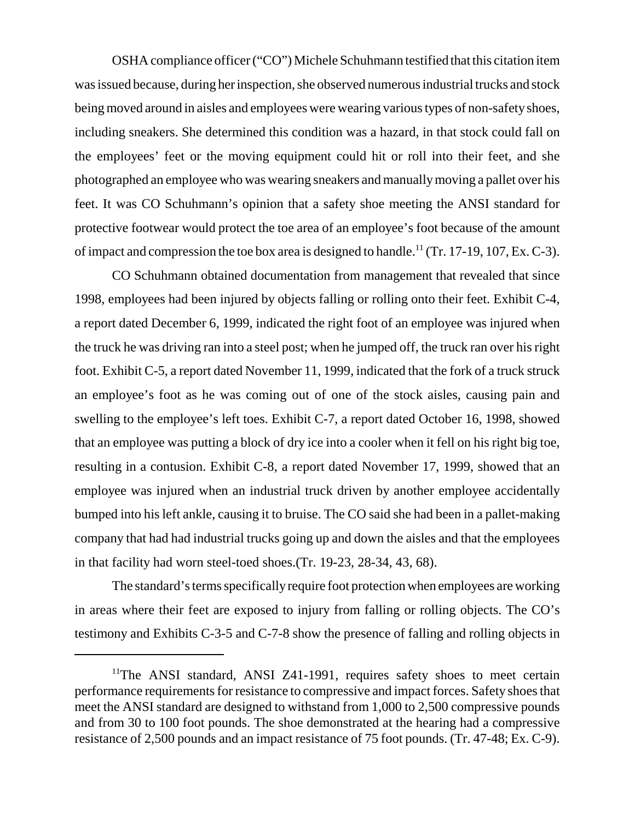OSHA compliance officer ("CO") Michele Schuhmann testified that this citation item was issued because, during her inspection, she observed numerous industrial trucks and stock being moved around in aisles and employees were wearing various types of non-safety shoes, including sneakers. She determined this condition was a hazard, in that stock could fall on the employees' feet or the moving equipment could hit or roll into their feet, and she photographed an employee who was wearing sneakers and manually moving a pallet over his feet. It was CO Schuhmann's opinion that a safety shoe meeting the ANSI standard for protective footwear would protect the toe area of an employee's foot because of the amount of impact and compression the toe box area is designed to handle.<sup>11</sup> (Tr. 17-19, 107, Ex. C-3).

CO Schuhmann obtained documentation from management that revealed that since 1998, employees had been injured by objects falling or rolling onto their feet. Exhibit C-4, a report dated December 6, 1999, indicated the right foot of an employee was injured when the truck he was driving ran into a steel post; when he jumped off, the truck ran over his right foot. Exhibit C-5, a report dated November 11, 1999, indicated that the fork of a truck struck an employee's foot as he was coming out of one of the stock aisles, causing pain and swelling to the employee's left toes. Exhibit C-7, a report dated October 16, 1998, showed that an employee was putting a block of dry ice into a cooler when it fell on his right big toe, resulting in a contusion. Exhibit C-8, a report dated November 17, 1999, showed that an employee was injured when an industrial truck driven by another employee accidentally bumped into his left ankle, causing it to bruise. The CO said she had been in a pallet-making company that had had industrial trucks going up and down the aisles and that the employees in that facility had worn steel-toed shoes.(Tr. 19-23, 28-34, 43, 68).

The standard's terms specifically require foot protection when employees are working in areas where their feet are exposed to injury from falling or rolling objects. The CO's testimony and Exhibits C-3-5 and C-7-8 show the presence of falling and rolling objects in

<sup>&</sup>lt;sup>11</sup>The ANSI standard, ANSI Z41-1991, requires safety shoes to meet certain performance requirements for resistance to compressive and impact forces. Safety shoes that meet the ANSI standard are designed to withstand from 1,000 to 2,500 compressive pounds and from 30 to 100 foot pounds. The shoe demonstrated at the hearing had a compressive resistance of 2,500 pounds and an impact resistance of 75 foot pounds. (Tr. 47-48; Ex. C-9).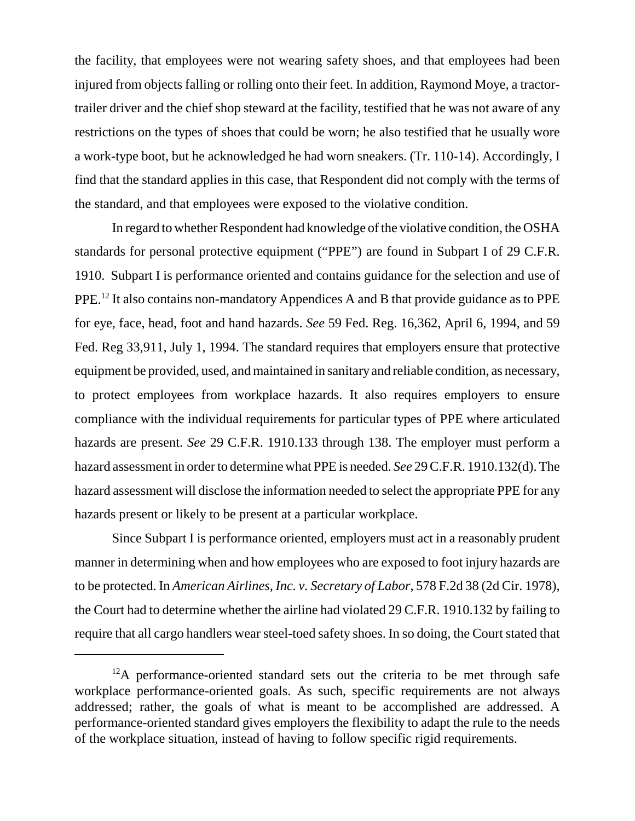the facility, that employees were not wearing safety shoes, and that employees had been injured from objects falling or rolling onto their feet. In addition, Raymond Moye, a tractortrailer driver and the chief shop steward at the facility, testified that he was not aware of any restrictions on the types of shoes that could be worn; he also testified that he usually wore a work-type boot, but he acknowledged he had worn sneakers. (Tr. 110-14). Accordingly, I find that the standard applies in this case, that Respondent did not comply with the terms of the standard, and that employees were exposed to the violative condition.

In regard to whether Respondent had knowledge of the violative condition, the OSHA standards for personal protective equipment ("PPE") are found in Subpart I of 29 C.F.R. 1910. Subpart I is performance oriented and contains guidance for the selection and use of PPE.12 It also contains non-mandatory Appendices A and B that provide guidance as to PPE for eye, face, head, foot and hand hazards. *See* 59 Fed. Reg. 16,362, April 6, 1994, and 59 Fed. Reg 33,911, July 1, 1994. The standard requires that employers ensure that protective equipment be provided, used, and maintained in sanitary and reliable condition, as necessary, to protect employees from workplace hazards. It also requires employers to ensure compliance with the individual requirements for particular types of PPE where articulated hazards are present. *See* 29 C.F.R. 1910.133 through 138. The employer must perform a hazard assessment in order to determine what PPE is needed. *See* 29 C.F.R. 1910.132(d). The hazard assessment will disclose the information needed to select the appropriate PPE for any hazards present or likely to be present at a particular workplace.

Since Subpart I is performance oriented, employers must act in a reasonably prudent manner in determining when and how employees who are exposed to foot injury hazards are to be protected. In *American Airlines, Inc. v. Secretary of Labor*, 578 F.2d 38 (2d Cir. 1978), the Court had to determine whether the airline had violated 29 C.F.R. 1910.132 by failing to require that all cargo handlers wear steel-toed safety shoes. In so doing, the Court stated that

 $12A$  performance-oriented standard sets out the criteria to be met through safe workplace performance-oriented goals. As such, specific requirements are not always addressed; rather, the goals of what is meant to be accomplished are addressed. A performance-oriented standard gives employers the flexibility to adapt the rule to the needs of the workplace situation, instead of having to follow specific rigid requirements.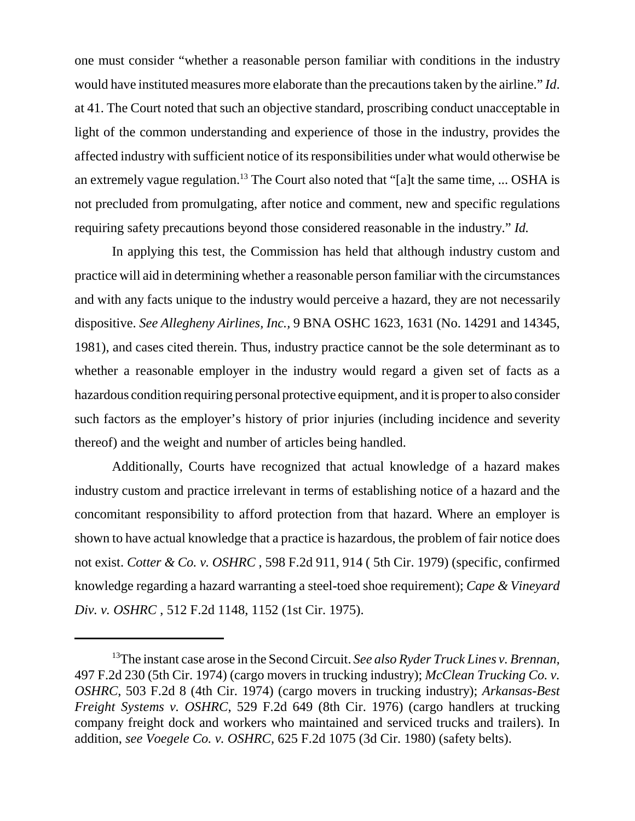one must consider "whether a reasonable person familiar with conditions in the industry would have instituted measures more elaborate than the precautions taken by the airline." *Id*. at 41. The Court noted that such an objective standard, proscribing conduct unacceptable in light of the common understanding and experience of those in the industry, provides the affected industry with sufficient notice of its responsibilities under what would otherwise be an extremely vague regulation.<sup>13</sup> The Court also noted that "[a]t the same time, ... OSHA is not precluded from promulgating, after notice and comment, new and specific regulations requiring safety precautions beyond those considered reasonable in the industry." *Id.*

In applying this test, the Commission has held that although industry custom and practice will aid in determining whether a reasonable person familiar with the circumstances and with any facts unique to the industry would perceive a hazard, they are not necessarily dispositive. *See Allegheny Airlines, Inc.,* 9 BNA OSHC 1623, 1631 (No. 14291 and 14345, 1981), and cases cited therein. Thus, industry practice cannot be the sole determinant as to whether a reasonable employer in the industry would regard a given set of facts as a hazardous condition requiring personal protective equipment, and it is proper to also consider such factors as the employer's history of prior injuries (including incidence and severity thereof) and the weight and number of articles being handled.

Additionally, Courts have recognized that actual knowledge of a hazard makes industry custom and practice irrelevant in terms of establishing notice of a hazard and the concomitant responsibility to afford protection from that hazard. Where an employer is shown to have actual knowledge that a practice is hazardous, the problem of fair notice does not exist. *Cotter & Co. v. OSHRC* , 598 F.2d 911, 914 ( 5th Cir. 1979) (specific, confirmed knowledge regarding a hazard warranting a steel-toed shoe requirement); *Cape & Vineyard Div. v. OSHRC* , 512 F.2d 1148, 1152 (1st Cir. 1975).

<sup>13</sup>The instant case arose in the Second Circuit. *See also Ryder Truck Lines v. Brennan,* 497 F.2d 230 (5th Cir. 1974) (cargo movers in trucking industry); *McClean Trucking Co. v. OSHRC*, 503 F.2d 8 (4th Cir. 1974) (cargo movers in trucking industry); *Arkansas-Best Freight Systems v. OSHRC*, 529 F.2d 649 (8th Cir. 1976) (cargo handlers at trucking company freight dock and workers who maintained and serviced trucks and trailers). In addition, *see Voegele Co. v. OSHRC,* 625 F.2d 1075 (3d Cir. 1980) (safety belts).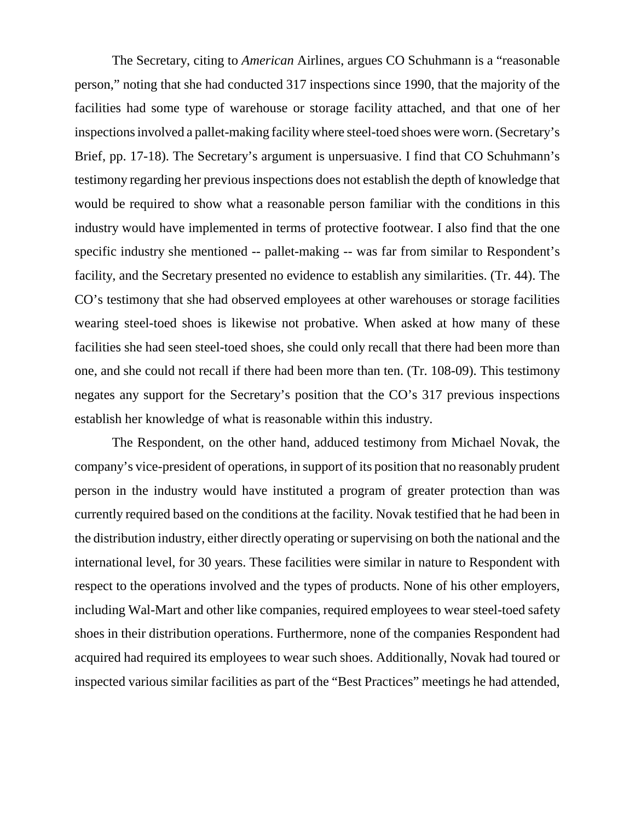The Secretary, citing to *American* Airlines, argues CO Schuhmann is a "reasonable person," noting that she had conducted 317 inspections since 1990, that the majority of the facilities had some type of warehouse or storage facility attached, and that one of her inspections involved a pallet-making facility where steel-toed shoes were worn. (Secretary's Brief, pp. 17-18). The Secretary's argument is unpersuasive. I find that CO Schuhmann's testimony regarding her previous inspections does not establish the depth of knowledge that would be required to show what a reasonable person familiar with the conditions in this industry would have implemented in terms of protective footwear. I also find that the one specific industry she mentioned -- pallet-making -- was far from similar to Respondent's facility, and the Secretary presented no evidence to establish any similarities. (Tr. 44). The CO's testimony that she had observed employees at other warehouses or storage facilities wearing steel-toed shoes is likewise not probative. When asked at how many of these facilities she had seen steel-toed shoes, she could only recall that there had been more than one, and she could not recall if there had been more than ten. (Tr. 108-09). This testimony negates any support for the Secretary's position that the CO's 317 previous inspections establish her knowledge of what is reasonable within this industry.

The Respondent, on the other hand, adduced testimony from Michael Novak, the company's vice-president of operations, in support of its position that no reasonably prudent person in the industry would have instituted a program of greater protection than was currently required based on the conditions at the facility. Novak testified that he had been in the distribution industry, either directly operating or supervising on both the national and the international level, for 30 years. These facilities were similar in nature to Respondent with respect to the operations involved and the types of products. None of his other employers, including Wal-Mart and other like companies, required employees to wear steel-toed safety shoes in their distribution operations. Furthermore, none of the companies Respondent had acquired had required its employees to wear such shoes. Additionally, Novak had toured or inspected various similar facilities as part of the "Best Practices" meetings he had attended,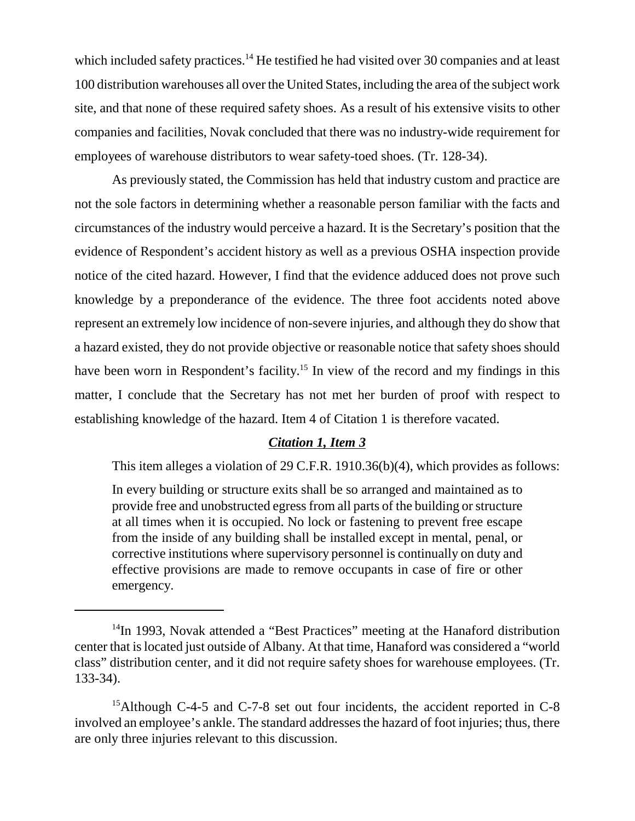which included safety practices.<sup>14</sup> He testified he had visited over 30 companies and at least 100 distribution warehouses all over the United States, including the area of the subject work site, and that none of these required safety shoes. As a result of his extensive visits to other companies and facilities, Novak concluded that there was no industry-wide requirement for employees of warehouse distributors to wear safety-toed shoes. (Tr. 128-34).

As previously stated, the Commission has held that industry custom and practice are not the sole factors in determining whether a reasonable person familiar with the facts and circumstances of the industry would perceive a hazard. It is the Secretary's position that the evidence of Respondent's accident history as well as a previous OSHA inspection provide notice of the cited hazard. However, I find that the evidence adduced does not prove such knowledge by a preponderance of the evidence. The three foot accidents noted above represent an extremely low incidence of non-severe injuries, and although they do show that a hazard existed, they do not provide objective or reasonable notice that safety shoes should have been worn in Respondent's facility.<sup>15</sup> In view of the record and my findings in this matter, I conclude that the Secretary has not met her burden of proof with respect to establishing knowledge of the hazard. Item 4 of Citation 1 is therefore vacated.

## *Citation 1, Item 3*

This item alleges a violation of 29 C.F.R. 1910.36(b)(4), which provides as follows:

In every building or structure exits shall be so arranged and maintained as to provide free and unobstructed egress from all parts of the building or structure at all times when it is occupied. No lock or fastening to prevent free escape from the inside of any building shall be installed except in mental, penal, or corrective institutions where supervisory personnel is continually on duty and effective provisions are made to remove occupants in case of fire or other emergency.

 $14$ In 1993, Novak attended a "Best Practices" meeting at the Hanaford distribution center that is located just outside of Albany. At that time, Hanaford was considered a "world class" distribution center, and it did not require safety shoes for warehouse employees. (Tr. 133-34).

<sup>&</sup>lt;sup>15</sup>Although C-4-5 and C-7-8 set out four incidents, the accident reported in C-8 involved an employee's ankle. The standard addresses the hazard of foot injuries; thus, there are only three injuries relevant to this discussion.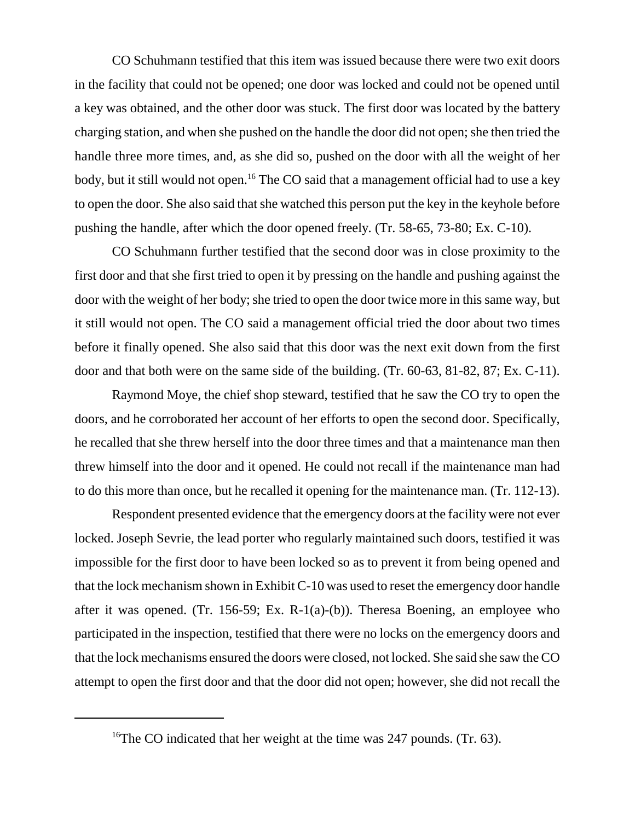CO Schuhmann testified that this item was issued because there were two exit doors in the facility that could not be opened; one door was locked and could not be opened until a key was obtained, and the other door was stuck. The first door was located by the battery charging station, and when she pushed on the handle the door did not open; she then tried the handle three more times, and, as she did so, pushed on the door with all the weight of her body, but it still would not open.<sup>16</sup> The CO said that a management official had to use a key to open the door. She also said that she watched this person put the key in the keyhole before pushing the handle, after which the door opened freely. (Tr. 58-65, 73-80; Ex. C-10).

CO Schuhmann further testified that the second door was in close proximity to the first door and that she first tried to open it by pressing on the handle and pushing against the door with the weight of her body; she tried to open the door twice more in this same way, but it still would not open. The CO said a management official tried the door about two times before it finally opened. She also said that this door was the next exit down from the first door and that both were on the same side of the building. (Tr. 60-63, 81-82, 87; Ex. C-11).

Raymond Moye, the chief shop steward, testified that he saw the CO try to open the doors, and he corroborated her account of her efforts to open the second door. Specifically, he recalled that she threw herself into the door three times and that a maintenance man then threw himself into the door and it opened. He could not recall if the maintenance man had to do this more than once, but he recalled it opening for the maintenance man. (Tr. 112-13).

Respondent presented evidence that the emergency doors at the facility were not ever locked. Joseph Sevrie, the lead porter who regularly maintained such doors, testified it was impossible for the first door to have been locked so as to prevent it from being opened and that the lock mechanism shown in Exhibit C-10 was used to reset the emergency door handle after it was opened. (Tr. 156-59; Ex. R-1(a)-(b)). Theresa Boening, an employee who participated in the inspection, testified that there were no locks on the emergency doors and that the lock mechanisms ensured the doors were closed, not locked. She said she saw the CO attempt to open the first door and that the door did not open; however, she did not recall the

<sup>&</sup>lt;sup>16</sup>The CO indicated that her weight at the time was 247 pounds. (Tr. 63).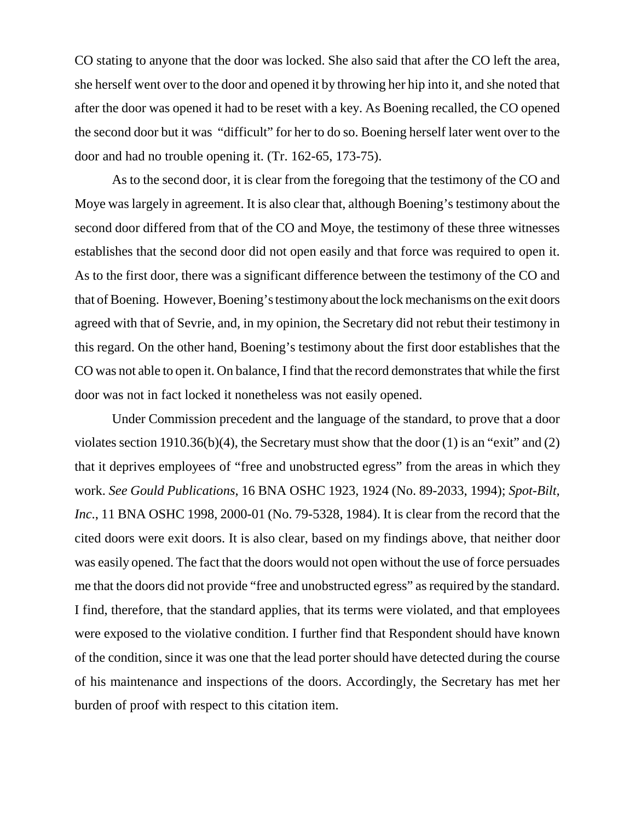CO stating to anyone that the door was locked. She also said that after the CO left the area, she herself went over to the door and opened it by throwing her hip into it, and she noted that after the door was opened it had to be reset with a key. As Boening recalled, the CO opened the second door but it was "difficult" for her to do so. Boening herself later went over to the door and had no trouble opening it. (Tr. 162-65, 173-75).

As to the second door, it is clear from the foregoing that the testimony of the CO and Moye was largely in agreement. It is also clear that, although Boening's testimony about the second door differed from that of the CO and Moye, the testimony of these three witnesses establishes that the second door did not open easily and that force was required to open it. As to the first door, there was a significant difference between the testimony of the CO and that of Boening. However, Boening's testimony about the lock mechanisms on the exit doors agreed with that of Sevrie, and, in my opinion, the Secretary did not rebut their testimony in this regard. On the other hand, Boening's testimony about the first door establishes that the CO was not able to open it. On balance, I find that the record demonstrates that while the first door was not in fact locked it nonetheless was not easily opened.

Under Commission precedent and the language of the standard, to prove that a door violates section 1910.36(b)(4), the Secretary must show that the door (1) is an "exit" and (2) that it deprives employees of "free and unobstructed egress" from the areas in which they work. *See Gould Publications*, 16 BNA OSHC 1923, 1924 (No. 89-2033, 1994); *Spot-Bilt, Inc.*, 11 BNA OSHC 1998, 2000-01 (No. 79-5328, 1984). It is clear from the record that the cited doors were exit doors. It is also clear, based on my findings above, that neither door was easily opened. The fact that the doors would not open without the use of force persuades me that the doors did not provide "free and unobstructed egress" as required by the standard. I find, therefore, that the standard applies, that its terms were violated, and that employees were exposed to the violative condition. I further find that Respondent should have known of the condition, since it was one that the lead porter should have detected during the course of his maintenance and inspections of the doors. Accordingly, the Secretary has met her burden of proof with respect to this citation item.